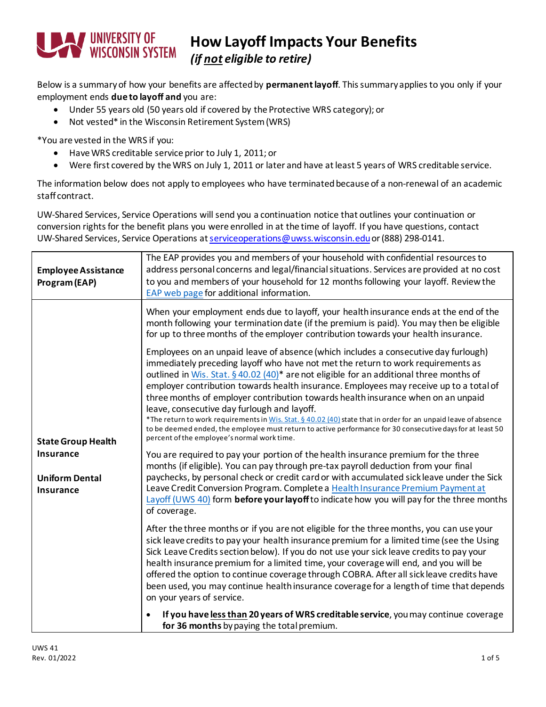

## **How Layoff Impacts Your Benefits**

*(if not eligible to retire)*

Below is a summary of how your benefits are affected by **permanentlayoff**. This summary applies to you only if your employment ends **due to layoff and** you are:

- Under 55 years old (50 years old if covered by the Protective WRS category); or
- Not vested\* in the Wisconsin Retirement System(WRS)

\*You are vested in the WRS if you:

- Have WRS creditable service prior to July 1, 2011; or
- Were first covered by the WRS on July 1, 2011 or later and have at least 5 years of WRS creditable service.

The information below does not apply to employees who have terminated because of a non-renewal of an academic staff contract.

UW-Shared Services, Service Operations will send you a continuation notice that outlines your continuation or conversion rights for the benefit plans you were enrolled in at the time of layoff. If you have questions, contact UW-Shared Services, Service Operations a[t serviceoperations@uwss.wisconsin.edu](mailto:servicecenter@uwsa.edu) or (888) 298-0141.

| <b>Employee Assistance</b><br>Program (EAP)                                                | The EAP provides you and members of your household with confidential resources to<br>address personal concerns and legal/financial situations. Services are provided at no cost<br>to you and members of your household for 12 months following your layoff. Review the<br>EAP web page for additional information.                                                                                                                                                                                                                                                                                                                                                                                                                                                                                                                                                                                                                                                                                                                                                                                                                                                                                                                                                  |
|--------------------------------------------------------------------------------------------|----------------------------------------------------------------------------------------------------------------------------------------------------------------------------------------------------------------------------------------------------------------------------------------------------------------------------------------------------------------------------------------------------------------------------------------------------------------------------------------------------------------------------------------------------------------------------------------------------------------------------------------------------------------------------------------------------------------------------------------------------------------------------------------------------------------------------------------------------------------------------------------------------------------------------------------------------------------------------------------------------------------------------------------------------------------------------------------------------------------------------------------------------------------------------------------------------------------------------------------------------------------------|
|                                                                                            | When your employment ends due to layoff, your health insurance ends at the end of the<br>month following your termination date (if the premium is paid). You may then be eligible<br>for up to three months of the employer contribution towards your health insurance.                                                                                                                                                                                                                                                                                                                                                                                                                                                                                                                                                                                                                                                                                                                                                                                                                                                                                                                                                                                              |
| <b>State Group Health</b><br><b>Insurance</b><br><b>Uniform Dental</b><br><b>Insurance</b> | Employees on an unpaid leave of absence (which includes a consecutive day furlough)<br>immediately preceding layoff who have not met the return to work requirements as<br>outlined in Wis. Stat. § 40.02 (40) <sup>*</sup> are not eligible for an additional three months of<br>employer contribution towards health insurance. Employees may receive up to a total of<br>three months of employer contribution towards health insurance when on an unpaid<br>leave, consecutive day furlough and layoff.<br>*The return to work requirements in Wis. Stat. § 40.02 (40) state that in order for an unpaid leave of absence<br>to be deemed ended, the employee must return to active performance for 30 consecutive days for at least 50<br>percent of the employee's normal work time.<br>You are required to pay your portion of the health insurance premium for the three<br>months (if eligible). You can pay through pre-tax payroll deduction from your final<br>paychecks, by personal check or credit card or with accumulated sick leave under the Sick<br>Leave Credit Conversion Program. Complete a Health Insurance Premium Payment at<br>Layoff (UWS 40) form before your layoff to indicate how you will pay for the three months<br>of coverage. |
|                                                                                            | After the three months or if you are not eligible for the three months, you can use your<br>sick leave credits to pay your health insurance premium for a limited time (see the Using<br>Sick Leave Credits section below). If you do not use your sick leave credits to pay your<br>health insurance premium for a limited time, your coverage will end, and you will be<br>offered the option to continue coverage through COBRA. After all sickleave credits have<br>been used, you may continue health insurance coverage for a length of time that depends<br>on your years of service.<br>If you have less than 20 years of WRS creditable service, you may continue coverage<br>for 36 months by paying the total premium.                                                                                                                                                                                                                                                                                                                                                                                                                                                                                                                                    |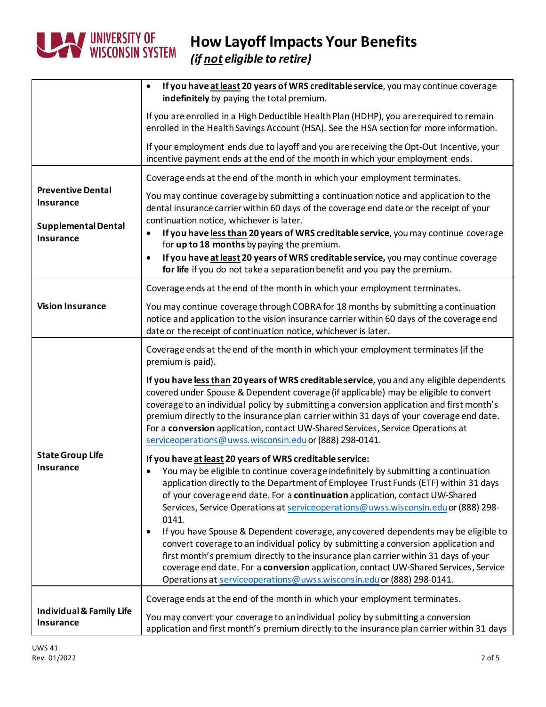

## **How Layoff Impacts Your Benefits**

*(if not eligible to retire)*

|                                                         | If you have at least 20 years of WRS creditable service, you may continue coverage<br>$\bullet$<br>indefinitely by paying the total premium.                                                                                                                                                                                                                                                                                                                                                                             |
|---------------------------------------------------------|--------------------------------------------------------------------------------------------------------------------------------------------------------------------------------------------------------------------------------------------------------------------------------------------------------------------------------------------------------------------------------------------------------------------------------------------------------------------------------------------------------------------------|
|                                                         | If you are enrolled in a High Deductible Health Plan (HDHP), you are required to remain<br>enrolled in the Health Savings Account (HSA). See the HSA section for more information.                                                                                                                                                                                                                                                                                                                                       |
|                                                         | If your employment ends due to layoff and you are receiving the Opt-Out Incentive, your<br>incentive payment ends at the end of the month in which your employment ends.                                                                                                                                                                                                                                                                                                                                                 |
| <b>Preventive Dental</b><br><b>Insurance</b>            | Coverage ends at the end of the month in which your employment terminates.                                                                                                                                                                                                                                                                                                                                                                                                                                               |
|                                                         | You may continue coverage by submitting a continuation notice and application to the<br>dental insurance carrier within 60 days of the coverage end date or the receipt of your<br>continuation notice, whichever is later.                                                                                                                                                                                                                                                                                              |
| <b>Supplemental Dental</b><br><b>Insurance</b>          | If you have less than 20 years of WRS creditable service, you may continue coverage<br>for up to 18 months by paying the premium.                                                                                                                                                                                                                                                                                                                                                                                        |
|                                                         | If you have at least 20 years of WRS creditable service, you may continue coverage<br>$\bullet$<br>for life if you do not take a separation benefit and you pay the premium.                                                                                                                                                                                                                                                                                                                                             |
|                                                         | Coverage ends at the end of the month in which your employment terminates.                                                                                                                                                                                                                                                                                                                                                                                                                                               |
| <b>Vision Insurance</b>                                 | You may continue coverage through COBRA for 18 months by submitting a continuation<br>notice and application to the vision insurance carrier within 60 days of the coverage end<br>date or the receipt of continuation notice, whichever is later.                                                                                                                                                                                                                                                                       |
|                                                         | Coverage ends at the end of the month in which your employment terminates (if the<br>premium is paid).                                                                                                                                                                                                                                                                                                                                                                                                                   |
|                                                         | If you have less than 20 years of WRS creditable service, you and any eligible dependents<br>covered under Spouse & Dependent coverage (if applicable) may be eligible to convert<br>coverage to an individual policy by submitting a conversion application and first month's<br>premium directly to the insurance plan carrier within 31 days of your coverage end date.<br>For a conversion application, contact UW-Shared Services, Service Operations at<br>serviceoperations@uwss.wisconsin.edu or (888) 298-0141. |
| <b>State Group Life</b>                                 | If you have at least 20 years of WRS creditable service:                                                                                                                                                                                                                                                                                                                                                                                                                                                                 |
| <b>Insurance</b>                                        | You may be eligible to continue coverage indefinitely by submitting a continuation<br>application directly to the Department of Employee Trust Funds (ETF) within 31 days<br>of your coverage end date. For a continuation application, contact UW-Shared<br>Services, Service Operations at service operations @ uwss.wisconsin.edu or (888) 298-<br>0141.                                                                                                                                                              |
|                                                         | If you have Spouse & Dependent coverage, any covered dependents may be eligible to<br>$\bullet$<br>convert coverage to an individual policy by submitting a conversion application and<br>first month's premium directly to the insurance plan carrier within 31 days of your<br>coverage end date. For a conversion application, contact UW-Shared Services, Service<br>Operations at serviceoperations@uwss.wisconsin.edu or (888) 298-0141.                                                                           |
|                                                         | Coverage ends at the end of the month in which your employment terminates.                                                                                                                                                                                                                                                                                                                                                                                                                                               |
| <b>Individual &amp; Family Life</b><br><b>Insurance</b> | You may convert your coverage to an individual policy by submitting a conversion<br>application and first month's premium directly to the insurance plan carrier within 31 days                                                                                                                                                                                                                                                                                                                                          |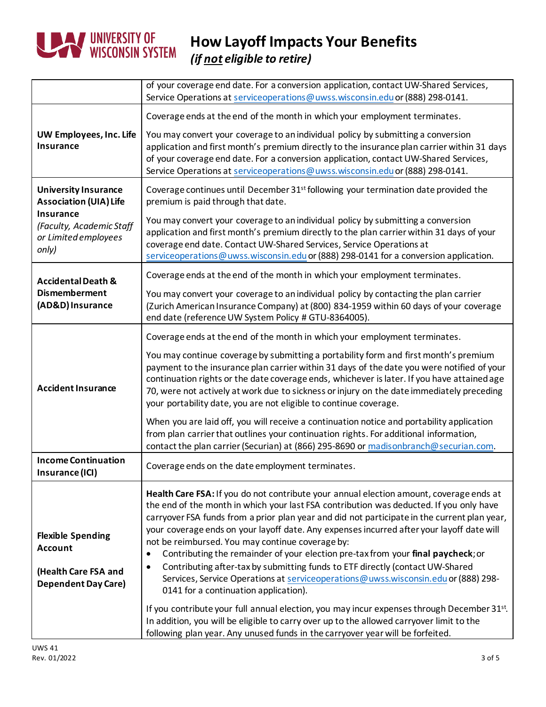

|                                                                                                  | of your coverage end date. For a conversion application, contact UW-Shared Services,<br>Service Operations at serviceoperations@uwss.wisconsin.edu or (888) 298-0141.                                                                                                                                                                                                                                                                                                                                                                                                                                                                                                                                                                                             |
|--------------------------------------------------------------------------------------------------|-------------------------------------------------------------------------------------------------------------------------------------------------------------------------------------------------------------------------------------------------------------------------------------------------------------------------------------------------------------------------------------------------------------------------------------------------------------------------------------------------------------------------------------------------------------------------------------------------------------------------------------------------------------------------------------------------------------------------------------------------------------------|
|                                                                                                  | Coverage ends at the end of the month in which your employment terminates.                                                                                                                                                                                                                                                                                                                                                                                                                                                                                                                                                                                                                                                                                        |
| UW Employees, Inc. Life<br><b>Insurance</b>                                                      | You may convert your coverage to an individual policy by submitting a conversion<br>application and first month's premium directly to the insurance plan carrier within 31 days<br>of your coverage end date. For a conversion application, contact UW-Shared Services,<br>Service Operations at serviceoperations@uwss.wisconsin.edu or (888) 298-0141.                                                                                                                                                                                                                                                                                                                                                                                                          |
| <b>University Insurance</b><br><b>Association (UIA) Life</b>                                     | Coverage continues until December 31 <sup>st</sup> following your termination date provided the<br>premium is paid through that date.                                                                                                                                                                                                                                                                                                                                                                                                                                                                                                                                                                                                                             |
| <b>Insurance</b><br>(Faculty, Academic Staff<br>or Limited employees<br>only)                    | You may convert your coverage to an individual policy by submitting a conversion<br>application and first month's premium directly to the plan carrier within 31 days of your<br>coverage end date. Contact UW-Shared Services, Service Operations at<br>serviceoperations@uwss.wisconsin.edu or (888) 298-0141 for a conversion application.                                                                                                                                                                                                                                                                                                                                                                                                                     |
| <b>Accidental Death &amp;</b><br><b>Dismemberment</b><br>(AD&D) Insurance                        | Coverage ends at the end of the month in which your employment terminates.                                                                                                                                                                                                                                                                                                                                                                                                                                                                                                                                                                                                                                                                                        |
|                                                                                                  | You may convert your coverage to an individual policy by contacting the plan carrier<br>(Zurich American Insurance Company) at (800) 834-1959 within 60 days of your coverage<br>end date (reference UW System Policy # GTU-8364005).                                                                                                                                                                                                                                                                                                                                                                                                                                                                                                                             |
|                                                                                                  | Coverage ends at the end of the month in which your employment terminates.                                                                                                                                                                                                                                                                                                                                                                                                                                                                                                                                                                                                                                                                                        |
| <b>Accident Insurance</b>                                                                        | You may continue coverage by submitting a portability form and first month's premium<br>payment to the insurance plan carrier within 31 days of the date you were notified of your<br>continuation rights or the date coverage ends, whichever is later. If you have attained age<br>70, were not actively at work due to sickness or injury on the date immediately preceding<br>your portability date, you are not eligible to continue coverage.                                                                                                                                                                                                                                                                                                               |
|                                                                                                  | When you are laid off, you will receive a continuation notice and portability application<br>from plan carrier that outlines your continuation rights. For additional information,<br>contact the plan carrier (Securian) at (866) 295-8690 or madisonbranch@securian.com.                                                                                                                                                                                                                                                                                                                                                                                                                                                                                        |
| <b>Income Continuation</b><br>Insurance (ICI)                                                    | Coverage ends on the date employment terminates.                                                                                                                                                                                                                                                                                                                                                                                                                                                                                                                                                                                                                                                                                                                  |
| <b>Flexible Spending</b><br><b>Account</b><br>(Health Care FSA and<br><b>Dependent Day Care)</b> | Health Care FSA: If you do not contribute your annual election amount, coverage ends at<br>the end of the month in which your last FSA contribution was deducted. If you only have<br>carryover FSA funds from a prior plan year and did not participate in the current plan year,<br>your coverage ends on your layoff date. Any expenses incurred after your layoff date will<br>not be reimbursed. You may continue coverage by:<br>Contributing the remainder of your election pre-tax from your final paycheck; or<br>$\bullet$<br>Contributing after-tax by submitting funds to ETF directly (contact UW-Shared<br>$\bullet$<br>Services, Service Operations at serviceoperations@uwss.wisconsin.edu or (888) 298-<br>0141 for a continuation application). |
|                                                                                                  | If you contribute your full annual election, you may incur expenses through December 31st.<br>In addition, you will be eligible to carry over up to the allowed carryover limit to the<br>following plan year. Any unused funds in the carryover year will be forfeited.                                                                                                                                                                                                                                                                                                                                                                                                                                                                                          |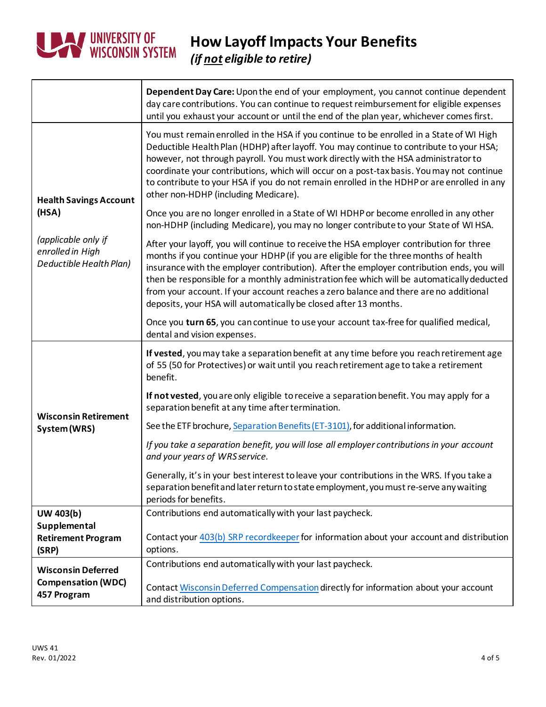

## **How Layoff Impacts Your Benefits** *(if not eligible to retire)*

|                                                                    | Dependent Day Care: Upon the end of your employment, you cannot continue dependent<br>day care contributions. You can continue to request reimbursement for eligible expenses<br>until you exhaust your account or until the end of the plan year, whichever comes first.                                                                                                                                                                                                                                                              |
|--------------------------------------------------------------------|----------------------------------------------------------------------------------------------------------------------------------------------------------------------------------------------------------------------------------------------------------------------------------------------------------------------------------------------------------------------------------------------------------------------------------------------------------------------------------------------------------------------------------------|
| <b>Health Savings Account</b><br>(HSA)                             | You must remain enrolled in the HSA if you continue to be enrolled in a State of WI High<br>Deductible Health Plan (HDHP) after layoff. You may continue to contribute to your HSA;<br>however, not through payroll. You must work directly with the HSA administrator to<br>coordinate your contributions, which will occur on a post-tax basis. You may not continue<br>to contribute to your HSA if you do not remain enrolled in the HDHP or are enrolled in any<br>other non-HDHP (including Medicare).                           |
|                                                                    | Once you are no longer enrolled in a State of WI HDHP or become enrolled in any other<br>non-HDHP (including Medicare), you may no longer contribute to your State of WI HSA.                                                                                                                                                                                                                                                                                                                                                          |
| (applicable only if<br>enrolled in High<br>Deductible Health Plan) | After your layoff, you will continue to receive the HSA employer contribution for three<br>months if you continue your HDHP (if you are eligible for the three months of health<br>insurance with the employer contribution). After the employer contribution ends, you will<br>then be responsible for a monthly administration fee which will be automatically deducted<br>from your account. If your account reaches a zero balance and there are no additional<br>deposits, your HSA will automatically be closed after 13 months. |
|                                                                    | Once you turn 65, you can continue to use your account tax-free for qualified medical,<br>dental and vision expenses.                                                                                                                                                                                                                                                                                                                                                                                                                  |
|                                                                    |                                                                                                                                                                                                                                                                                                                                                                                                                                                                                                                                        |
|                                                                    | If vested, you may take a separation benefit at any time before you reach retirement age<br>of 55 (50 for Protectives) or wait until you reach retirement age to take a retirement<br>benefit.                                                                                                                                                                                                                                                                                                                                         |
|                                                                    | If not vested, you are only eligible to receive a separation benefit. You may apply for a<br>separation benefit at any time after termination.                                                                                                                                                                                                                                                                                                                                                                                         |
| <b>Wisconsin Retirement</b><br>System (WRS)                        | See the ETF brochure, Separation Benefits (ET-3101), for additional information.                                                                                                                                                                                                                                                                                                                                                                                                                                                       |
|                                                                    | If you take a separation benefit, you will lose all employer contributions in your account<br>and your years of WRS service.                                                                                                                                                                                                                                                                                                                                                                                                           |
|                                                                    | Generally, it's in your best interest to leave your contributions in the WRS. If you take a<br>separation benefit and later return to state employment, you must re-serve any waiting<br>periods for benefits.                                                                                                                                                                                                                                                                                                                         |
| UW 403(b)                                                          | Contributions end automatically with your last paycheck.                                                                                                                                                                                                                                                                                                                                                                                                                                                                               |
| Supplemental<br><b>Retirement Program</b><br>(SRP)                 | Contact your 403(b) SRP recordkeeper for information about your account and distribution<br>options.                                                                                                                                                                                                                                                                                                                                                                                                                                   |
| <b>Wisconsin Deferred</b>                                          | Contributions end automatically with your last paycheck.                                                                                                                                                                                                                                                                                                                                                                                                                                                                               |